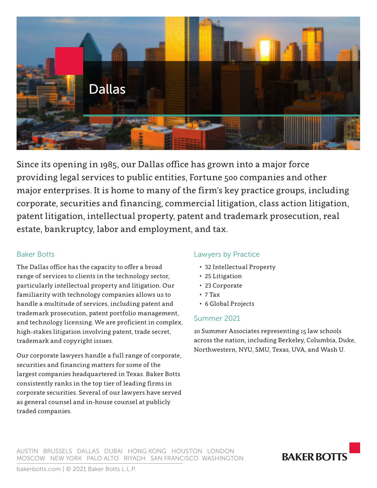

Since its opening in 1985, our Dallas office has grown into a major force providing legal services to public entities, Fortune 500 companies and other major enterprises. It is home to many of the firm's key practice groups, including corporate, securities and financing, commercial litigation, class action litigation, patent litigation, intellectual property, patent and trademark prosecution, real estate, bankruptcy, labor and employment, and tax.

# Baker Botts

The Dallas office has the capacity to offer a broad range of services to clients in the technology sector, particularly intellectual property and litigation. Our familiarity with technology companies allows us to handle a multitude of services, including patent and trademark prosecution, patent portfolio management, and technology licensing. We are proficient in complex, high-stakes litigation involving patent, trade secret, trademark and copyright issues.

Our corporate lawyers handle a full range of corporate, securities and financing matters for some of the largest companies headquartered in Texas. Baker Botts consistently ranks in the top tier of leading firms in corporate securities. Several of our lawyers have served as general counsel and in-house counsel at publicly traded companies.

# Lawyers by Practice

- 32 Intellectual Property
- 25 Litigation
- 23 Corporate
- 7 Tax
- 6 Global Projects

## Summer 2021

20 Summer Associates representing 15 law schools across the nation, including Berkeley, Columbia, Duke, Northwestern, NYU, SMU, Texas, UVA, and Wash U.